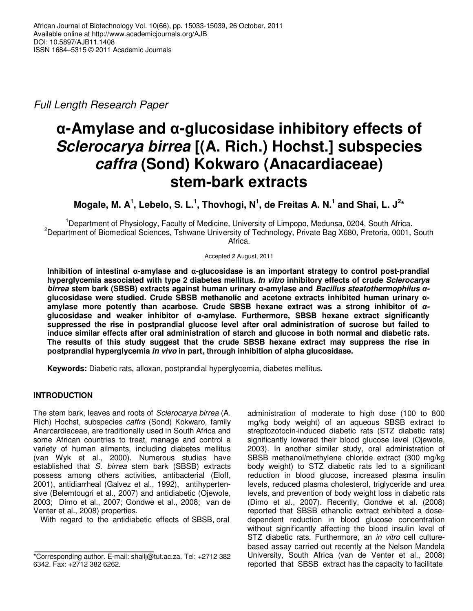Full Length Research Paper

# **α-Amylase and α-glucosidase inhibitory effects of Sclerocarya birrea [(A. Rich.) Hochst.] subspecies caffra (Sond) Kokwaro (Anacardiaceae) stem-bark extracts**

Mogale, M. A<sup>1</sup>, Lebelo, S. L.<sup>1</sup>, Thovhogi, N<sup>1</sup>, de Freitas A. N.<sup>1</sup> and Shai, L. J<sup>2</sup><sup>\*</sup>

<sup>1</sup>Department of Physiology, Faculty of Medicine, University of Limpopo, Medunsa, 0204, South Africa. <sup>2</sup>Department of Biomedical Sciences, Tshwane University of Technology, Private Bag X680, Pretoria, 0001, South Africa.

Accepted 2 August, 2011

**Inhibition of intestinal α-amylase and α-glucosidase is an important strategy to control post-prandial hyperglycemia associated with type 2 diabetes mellitus. In vitro inhibitory effects of crude Sclerocarya birrea stem bark (SBSB) extracts against human urinary α-amylase and Bacillus steatothermophilus** *α***glucosidase were studied. Crude SBSB methanolic and acetone extracts inhibited human urinary αamylase more potently than acarbose. Crude SBSB hexane extract was a strong inhibitor of** *α***glucosidase and weaker inhibitor of α-amylase. Furthermore, SBSB hexane extract significantly suppressed the rise in postprandial glucose level after oral administration of sucrose but failed to induce similar effects after oral administration of starch and glucose in both normal and diabetic rats. The results of this study suggest that the crude SBSB hexane extract may suppress the rise in postprandial hyperglycemia in vivo in part, through inhibition of alpha glucosidase.** 

**Keywords:** Diabetic rats, alloxan, postprandial hyperglycemia, diabetes mellitus.

# **INTRODUCTION**

The stem bark, leaves and roots of Sclerocarya birrea (A. Rich) Hochst, subspecies caffra (Sond) Kokwaro, family Anarcardiaceae, are traditionally used in South Africa and some African countries to treat, manage and control a variety of human ailments, including diabetes mellitus (van Wyk et al., 2000). Numerous studies have established that S. birrea stem bark (SBSB) extracts possess among others activities, antibacterial (Eloff, 2001), antidiarrheal (Galvez et al., 1992), antihypertensive (Belemtougri et al., 2007) and antidiabetic (Ojewole, 2003; Dimo et al., 2007; Gondwe et al., 2008; van de Venter et al., 2008) properties.

With regard to the antidiabetic effects of SBSB, oral

administration of moderate to high dose (100 to 800 mg/kg body weight) of an aqueous SBSB extract to streptozotocin-induced diabetic rats (STZ diabetic rats) significantly lowered their blood glucose level (Ojewole, 2003). In another similar study, oral administration of SBSB methanol/methylene chloride extract (300 mg/kg body weight) to STZ diabetic rats led to a significant reduction in blood glucose, increased plasma insulin levels, reduced plasma cholesterol, triglyceride and urea levels, and prevention of body weight loss in diabetic rats (Dimo et al., 2007). Recently, Gondwe et al. (2008) reported that SBSB ethanolic extract exhibited a dosedependent reduction in blood glucose concentration without significantly affecting the blood insulin level of STZ diabetic rats. Furthermore, an *in vitro* cell culturebased assay carried out recently at the Nelson Mandela University, South Africa (van de Venter et al., 2008) reported that SBSB extract has the capacity to facilitate

<sup>\*</sup>Corresponding author. E-mail: shailj@tut.ac.za. Tel: +2712 382 6342. Fax: +2712 382 6262.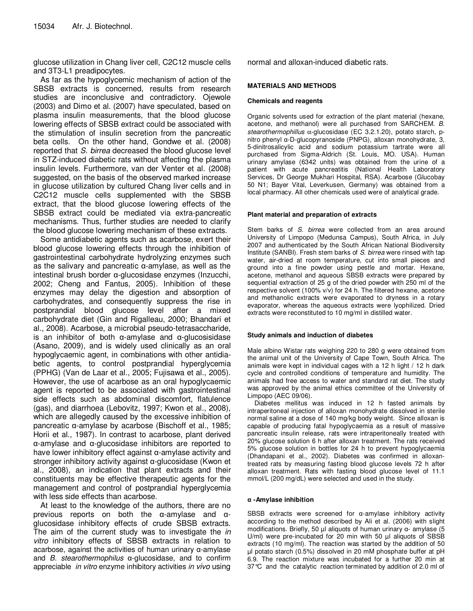glucose utilization in Chang liver cell, C2C12 muscle cells and 3T3-L1 preadipocytes.

As far as the hypoglycemic mechanism of action of the SBSB extracts is concerned, results from research studies are inconclusive and contradictory. Ojewole (2003) and Dimo et al. (2007) have speculated, based on plasma insulin measurements, that the blood glucose lowering effects of SBSB extract could be associated with the stimulation of insulin secretion from the pancreatic beta cells. On the other hand, Gondwe et al. (2008) reported that S. birrea decreased the blood glucose level in STZ-induced diabetic rats without affecting the plasma insulin levels. Furthermore, van der Venter et al. (2008) suggested, on the basis of the observed marked increase in glucose utilization by cultured Chang liver cells and in C2C12 muscle cells supplemented with the SBSB extract, that the blood glucose lowering effects of the SBSB extract could be mediated via extra-pancreatic mechanisms. Thus, further studies are needed to clarify the blood glucose lowering mechanism of these extracts.

Some antidiabetic agents such as acarbose, exert their blood glucose lowering effects through the inhibition of gastrointestinal carbohydrate hydrolyzing enzymes such as the salivary and pancreatic α-amylase, as well as the intestinal brush border α-glucosidase enzymes (Inzucchi, 2002; Cheng and Fantus, 2005). Inhibition of these enzymes may delay the digestion and absorption of carbohydrates, and consequently suppress the rise in postprandial blood glucose level after a mixed carbohydrate diet (Gin and Rigalleau, 2000; Bhandari et al., 2008). Acarbose, a microbial pseudo-tetrasaccharide, is an inhibitor of both α-amylase and α-glucosisidase (Asano, 2009), and is widely used clinically as an oral hypoglycaemic agent, in combinations with other antidiabetic agents, to control postprandial hyperglycemia (PPHG) (Van de Laar et al., 2005; Fujisawa et al., 2005). However, the use of acarbose as an oral hypoglycaemic agent is reported to be associated with gastrointestinal side effects such as abdominal discomfort, flatulence (gas), and diarrhoea (Lebovitz, 1997; Kwon et al., 2008), which are allegedly caused by the excessive inhibition of pancreatic α-amylase by acarbose (Bischoff et al., 1985; Horii et al., 1987). In contrast to acarbose, plant derived α-amylase and α-glucosidase inhibitors are reported to have lower inhibitory effect against α-amylase activity and stronger inhibitory activity against α-glucosidase (Kwon et al., 2008), an indication that plant extracts and their constituents may be effective therapeutic agents for the management and control of postprandial hyperglycemia with less side effects than acarbose.

At least to the knowledge of the authors, there are no previous reports on both the α-amylase and αglucosidase inhibitory effects of crude SBSB extracts. The aim of the current study was to investigate the in vitro inhibitory effects of SBSB extracts in relation to acarbose, against the activities of human urinary α-amylase and  $B$ . stearothermophilus  $\alpha$ -glucosidase, and to confirm appreciable *in vitro* enzyme inhibitory activities in vivo using normal and alloxan-induced diabetic rats.

# **MATERIALS AND METHODS**

#### **Chemicals and reagents**

Organic solvents used for extraction of the plant material (hexane, acetone, and methanol) were all purchased from SARCHEM. B. stearothermophillus  $\alpha$ -glucosidase (EC 3.2.1.20), potato starch, pnitro phenyl α-D-glucopyranoside (PNPG), alloxan monohydrate, 3, 5-dinitrosalicylic acid and sodium potassium tartrate were all purchased from Sigma-Aldrich (St. Louis, MO. USA). Human urinary amylase (6342 units) was obtained from the urine of a patient with acute pancreatitis (National Health Laboratory Services, Dr George Mukhari Hospital, RSA). Acarbose (Glucobay 50 N1; Bayer Vital, Leverkusen, Germany) was obtained from a local pharmacy. All other chemicals used were of analytical grade.

#### **Plant material and preparation of extracts**

Stem barks of S. birrea were collected from an area around University of Limpopo (Medunsa Campus), South Africa, in July 2007 and authenticated by the South African National Biodiversity Institute (SANBI). Fresh stem barks of S. birrea were rinsed with tap water, air-dried at room temperature, cut into small pieces and ground into a fine powder using pestle and mortar. Hexane, acetone, methanol and aqueous SBSB extracts were prepared by sequential extraction of 25 g of the dried powder with 250 ml of the respective solvent (100% v/v) for 24 h. The filtered hexane, acetone and methanolic extracts were evaporated to dryness in a rotary evaporator, whereas the aqueous extracts were lyophilized. Dried extracts were reconstituted to 10 mg/ml in distilled water.

#### **Study animals and induction of diabetes**

Male albino Wistar rats weighing 220 to 280 g were obtained from the animal unit of the University of Cape Town, South Africa. The animals were kept in individual cages with a 12 h light / 12 h dark cycle and controlled conditions of temperature and humidity. The animals had free access to water and standard rat diet. The study was approved by the animal ethics committee of the University of Limpopo (AEC 09/06).

Diabetes mellitus was induced in 12 h fasted animals by intraperitoneal injection of alloxan monohydrate dissolved in sterile normal saline at a dose of 140 mg/kg body weight. Since alloxan is capable of producing fatal hypoglycaemia as a result of massive pancreatic insulin release, rats were intraperitoneally treated with 20% glucose solution 6 h after alloxan treatment. The rats received 5% glucose solution in bottles for 24 h to prevent hypoglycaemia (Dhandapani et al., 2002). Diabetes was confirmed in alloxantreated rats by measuring fasting blood glucose levels 72 h after alloxan treatment. Rats with fasting blood glucose level of 11.1 mmol/L (200 mg/dL) were selected and used in the study.

#### **α -Amylase inhibition**

SBSB extracts were screened for α-amylase inhibitory activity according to the method described by Ali et al. (2006) with slight modifications. Briefly, 50 µl aliquots of human urinary α- amylase (5 U/ml) were pre-incubated for 20 min with 50 µl aliquots of SBSB extracts (10 mg/ml). The reaction was started by the addition of 50 µl potato starch (0.5%) dissolved in 20 mM phosphate buffer at pH 6.9. The reaction mixture was incubated for a further 20 min at 37°C and the catalytic reaction terminated by addition of 2.0 ml of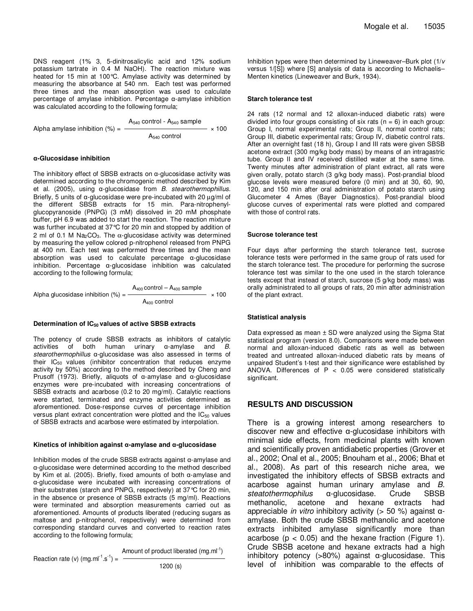DNS reagent (1% 3, 5-dinitrosalicylic acid and 12% sodium potassium tartrate in 0.4 M NaOH). The reaction mixture was heated for 15 min at 100°C. Amylase activity was determined by measuring the absorbance at 540 nm. Each test was performed three times and the mean absorption was used to calculate percentage of amylase inhibition. Percentage α-amylase inhibition was calculated according to the following formula;

 $A_{540}$  control -  $A_{540}$  sample Alpha amylase inhibition  $(\%) =$   $\frac{1}{2}$ A540 control

#### **α-Glucosidase inhibition**

The inhibitory effect of SBSB extracts on α-glucosidase activity was determined according to the chromogenic method described by Kim et al. (2005), using  $\alpha$ -glucosidase from *B. stearothermophillus*. Briefly, 5 units of α-glucosidase were pre-incubated with 20  $\mu$ g/ml of the different SBSB extracts for 15 min. Para-nitrophenylglucopyranoside (PNPG) (3 mM) dissolved in 20 mM phosphate buffer, pH 6.9 was added to start the reaction. The reaction mixture was further incubated at 37°C for 20 min and stopped by addition of 2 ml of 0.1 M Na<sub>2</sub>CO<sub>3</sub>. The  $\alpha$ -glucosidase activity was determined by measuring the yellow colored p-nitrophenol released from PNPG at 400 nm. Each test was performed three times and the mean absorption was used to calculate percentage α-glucosidase inhibition. Percentage α-glucosidase inhibition was calculated according to the following formula;

 $A_{400}$  control –  $A_{400}$  sample Alpha glucosidase inhibition (%) = × 100 A400 control

#### **Determination of IC50 values of active SBSB extracts**

The potency of crude SBSB extracts as inhibitors of catalytic activities of both human urinary  $\alpha$ -amylase and  $B$ . stearothermophillus α-glucosidase was also assessed in terms of their  $IC_{50}$  values (inhibitor concentration that reduces enzyme activity by 50%) according to the method described by Cheng and Prusoff (1973). Briefly, aliquots of α-amylase and α-glucosidase enzymes were pre-incubated with increasing concentrations of SBSB extracts and acarbose (0.2 to 20 mg/ml). Catalytic reactions were started, terminated and enzyme activities determined as aforementioned. Dose-response curves of percentage inhibition versus plant extract concentration were plotted and the  $IC_{50}$  values of SBSB extracts and acarbose were estimated by interpolation.

#### **Kinetics of inhibition against α-amylase and α-glucosidase**

Inhibition modes of the crude SBSB extracts against α-amylase and α-glucosidase were determined according to the method described by Kim et al. (2005). Briefly, fixed amounts of both α-amylase and α-glucosidase were incubated with increasing concentrations of their substrates (starch and PNPG, respectively) at 37°C for 20 min, in the absence or presence of SBSB extracts (5 mg/ml). Reactions were terminated and absorption measurements carried out as aforementioned. Amounts of products liberated (reducing sugars as maltose and p-nitrophenol, respectively) were determined from corresponding standard curves and converted to reaction rates according to the following formula;

Amount of product liberated (mg.ml<sup>-1</sup>)

Reaction rate (v)  $(mg.m^{-1}.s^{-1}) = -$ 

1200 (s)

Inhibition types were then determined by Lineweaver–Burk plot (1/v versus 1/[S]) where [S] analysis of data is according to Michaelis– Menten kinetics (Lineweaver and Burk, 1934).

#### **Starch tolerance test**

24 rats (12 normal and 12 alloxan-induced diabetic rats) were divided into four groups consisting of six rats ( $n = 6$ ) in each group: Group I, normal experimental rats; Group II, normal control rats; Group III, diabetic experimental rats; Group IV, diabetic control rats. After an overnight fast (18 h), Group I and III rats were given SBSB acetone extract (300 mg/kg body mass) by means of an intragastric tube. Group II and IV received distilled water at the same time. Twenty minutes after administration of plant extract, all rats were given orally, potato starch (3 g/kg body mass). Post-prandial blood glucose levels were measured before (0 min) and at 30, 60, 90, 120, and 150 min after oral administration of potato starch using Glucometer 4 Ames (Bayer Diagnostics). Post-prandial blood glucose curves of experimental rats were plotted and compared with those of control rats.

#### **Sucrose tolerance test**

Four days after performing the starch tolerance test, sucrose tolerance tests were performed in the same group of rats used for the starch tolerance test. The procedure for performing the sucrose tolerance test was similar to the one used in the starch tolerance tests except that instead of starch, sucrose (5 g/kg body mass) was orally administrated to all groups of rats, 20 min after administration of the plant extract.

#### **Statistical analysis**

Data expressed as mean ± SD were analyzed using the Sigma Stat statistical program (version 8.0). Comparisons were made between normal and alloxan-induced diabetic rats as well as between treated and untreated alloxan-induced diabetic rats by means of unpaired Student's t-test and their significance were established by ANOVA. Differences of  $P < 0.05$  were considered statistically significant.

# **RESULTS AND DISCUSSION**

There is a growing interest among researchers to discover new and effective α-glucosidase inhibitors with minimal side effects, from medicinal plants with known and scientifically proven antidiabetic properties (Grover et al., 2002; Onal et al., 2005; Bnouham et al., 2006; Bhat et al., 2008). As part of this research niche area, we investigated the inhibitory effects of SBSB extracts and acarbose against human urinary amylase and B. steatothermophilus α-glucosidase. Crude SBSB methanolic, acetone and hexane extracts had appreciable *in vitro* inhibitory activity (> 50 %) against  $α$ amylase. Both the crude SBSB methanolic and acetone extracts inhibited amylase significantly more than acarbose ( $p < 0.05$ ) and the hexane fraction (Figure 1). Crude SBSB acetone and hexane extracts had a high inhibitory potency (>80%) against α-glucosidase. This level of inhibition was comparable to the effects of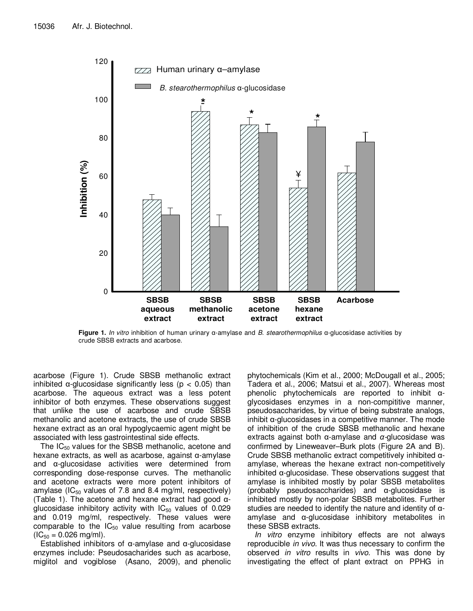

**Figure 1.** In vitro inhibition of human urinary α-amylase and B. stearothermophilus α-glucosidase activities by crude SBSB extracts and acarbose.

acarbose (Figure 1). Crude SBSB methanolic extract inhibited  $\alpha$ -glucosidase significantly less ( $p < 0.05$ ) than acarbose. The aqueous extract was a less potent inhibitor of both enzymes. These observations suggest that unlike the use of acarbose and crude SBSB methanolic and acetone extracts, the use of crude SBSB hexane extract as an oral hypoglycaemic agent might be associated with less gastrointestinal side effects.

The  $IC_{50}$  values for the SBSB methanolic, acetone and hexane extracts, as well as acarbose, against α-amylase and α-glucosidase activities were determined from corresponding dose-response curves. The methanolic and acetone extracts were more potent inhibitors of amylase (IC $_{50}$  values of 7.8 and 8.4 mg/ml, respectively) (Table 1). The acetone and hexane extract had good αglucosidase inhibitory activity with  $IC_{50}$  values of 0.029 and 0.019 mg/ml, respectively. These values were comparable to the  $IC_{50}$  value resulting from acarbose  $(IC_{50} = 0.026$  mg/ml).

Established inhibitors of α-amylase and α-glucosidase enzymes include: Pseudosacharides such as acarbose, miglitol and vogiblose (Asano, 2009), and phenolic

phytochemicals (Kim et al., 2000; McDougall et al., 2005; Tadera et al., 2006; Matsui et al., 2007). Whereas most phenolic phytochemicals are reported to inhibit αglycosidases enzymes in a non-compititive manner, pseudosaccharides, by virtue of being substrate analogs, inhibit  $\alpha$ -glucosidases in a competitive manner. The mode of inhibition of the crude SBSB methanolic and hexane extracts against both α-amylase and *α*-glucosidase was confirmed by Lineweaver–Burk plots (Figure 2A and B). Crude SBSB methanolic extract competitively inhibited αamylase, whereas the hexane extract non-competitively inhibited α-glucosidase. These observations suggest that amylase is inhibited mostly by polar SBSB metabolites (probably pseudosaccharides) and α-glucosidase is inhibited mostly by non-polar SBSB metabolites. Further studies are needed to identify the nature and identity of  $\alpha$ amylase and α-glucosidase inhibitory metabolites in these SBSB extracts.

In vitro enzyme inhibitory effects are not always reproducible *in vivo*. It was thus necessary to confirm the observed in vitro results in vivo. This was done by investigating the effect of plant extract on PPHG in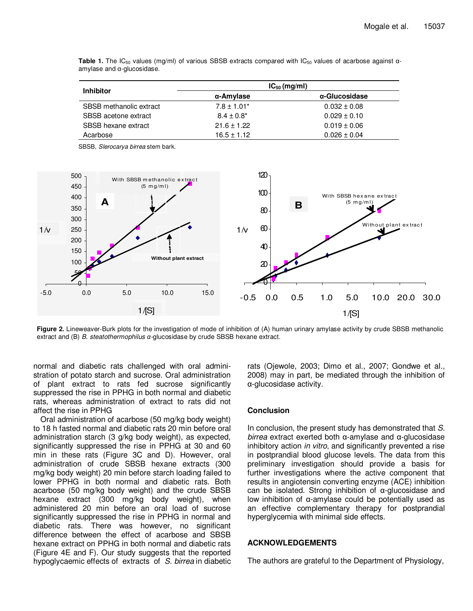| <b>Inhibitor</b>        | $IC_{50}$ (mg/ml) |                  |
|-------------------------|-------------------|------------------|
|                         | α-Amylase         | α-Glucosidase    |
| SBSB methanolic extract | $7.8 \pm 1.01*$   | $0.032 \pm 0.08$ |
| SBSB acetone extract    | $8.4 \pm 0.8^*$   | $0.029 \pm 0.10$ |
| SBSB hexane extract     | $21.6 \pm 1.22$   | $0.019 \pm 0.06$ |
| Acarbose                | $16.5 \pm 1.12$   | $0.026 \pm 0.04$ |

**Table 1.** The IC<sub>50</sub> values (mg/ml) of various SBSB extracts compared with IC<sub>50</sub> values of acarbose against αamylase and α-glucosidase.

SBSB, Slerocarya birrea stem bark.



**Figure 2.** Lineweaver-Burk plots for the investigation of mode of inhibition of (A) human urinary amylase activity by crude SBSB methanolic extract and (B) B. steatothermophilus *α*-glucosidase by crude SBSB hexane extract.

normal and diabetic rats challenged with oral administration of potato starch and sucrose. Oral administration of plant extract to rats fed sucrose significantly suppressed the rise in PPHG in both normal and diabetic rats, whereas administration of extract to rats did not affect the rise in PPHG

Oral administration of acarbose (50 mg/kg body weight) to 18 h fasted normal and diabetic rats 20 min before oral administration starch (3 g/kg body weight), as expected, significantly suppressed the rise in PPHG at 30 and 60 min in these rats (Figure 3C and D). However, oral administration of crude SBSB hexane extracts (300 mg/kg body weight) 20 min before starch loading failed to lower PPHG in both normal and diabetic rats. Both acarbose (50 mg/kg body weight) and the crude SBSB hexane extract (300 mg/kg body weight), when administered 20 min before an oral load of sucrose significantly suppressed the rise in PPHG in normal and diabetic rats. There was however, no significant difference between the effect of acarbose and SBSB hexane extract on PPHG in both normal and diabetic rats (Figure 4E and F). Our study suggests that the reported hypoglycaemic effects of extracts of S. birrea in diabetic rats (Ojewole, 2003; Dimo et al., 2007; Gondwe et al., 2008) may in part, be mediated through the inhibition of α-glucosidase activity.

# **Conclusion**

In conclusion, the present study has demonstrated that S. birrea extract exerted both α-amylase and α-glucosidase inhibitory action in vitro, and significantly prevented a rise in postprandial blood glucose levels. The data from this preliminary investigation should provide a basis for further investigations where the active component that results in angiotensin converting enzyme (ACE) inhibition can be isolated. Strong inhibition of α-glucosidase and low inhibition of α-amylase could be potentially used as an effective complementary therapy for postprandial hyperglycemia with minimal side effects.

# **ACKNOWLEDGEMENTS**

The authors are grateful to the Department of Physiology,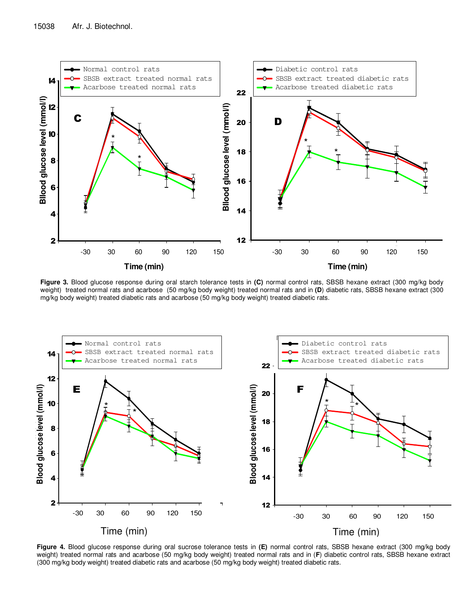

**Figure 3.** Blood glucose response during oral starch tolerance tests in **(C)** normal control rats, SBSB hexane extract (300 mg/kg body weight) treated normal rats and acarbose (50 mg/kg body weight) treated normal rats and in **(D**) diabetic rats, SBSB hexane extract (300 mg/kg body weight) treated diabetic rats and acarbose (50 mg/kg body weight) treated diabetic rats.



**Figure 4.** Blood glucose response during oral sucrose tolerance tests in **(E)** normal control rats, SBSB hexane extract (300 mg/kg body weight) treated normal rats and acarbose (50 mg/kg body weight) treated normal rats and in (**F**) diabetic control rats, SBSB hexane extract (300 mg/kg body weight) treated diabetic rats and acarbose (50 mg/kg body weight) treated diabetic rats.